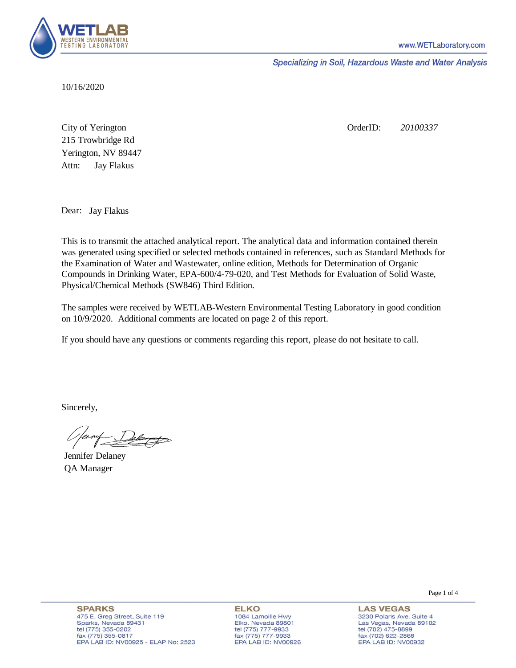

Specializing in Soil, Hazardous Waste and Water Analysis

10/16/2020

Attn: City of Yerington 215 Trowbridge Rd Jay Flakus Yerington, NV 89447 OrderID: *20100337*

Dear: Jay Flakus

This is to transmit the attached analytical report. The analytical data and information contained therein was generated using specified or selected methods contained in references, such as Standard Methods for the Examination of Water and Wastewater, online edition, Methods for Determination of Organic Compounds in Drinking Water, EPA-600/4-79-020, and Test Methods for Evaluation of Solid Waste, Physical/Chemical Methods (SW846) Third Edition.

The samples were received by WETLAB-Western Environmental Testing Laboratory in good condition on 10/9/2020. Additional comments are located on page 2 of this report.

If you should have any questions or comments regarding this report, please do not hesitate to call.

Sincerely,

Jennifer Delaney QA Manager

Page 1 of 4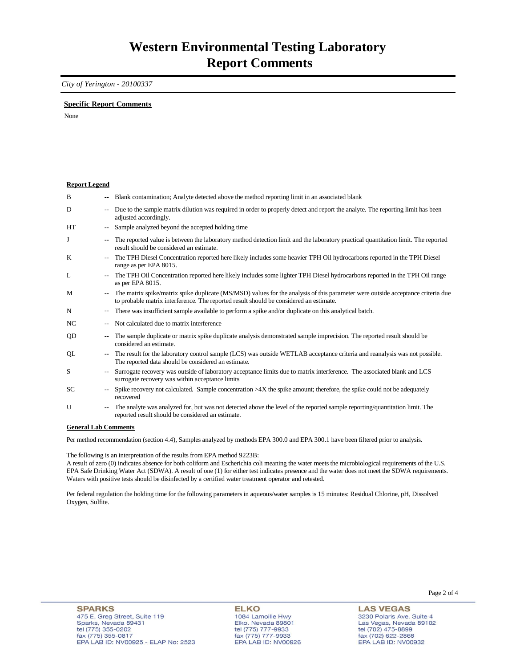### *City of Yerington - 20100337*

#### **Specific Report Comments**

None

#### **Report Legend**

| B         | $\overline{\phantom{a}}$ | Blank contamination; Analyte detected above the method reporting limit in an associated blank                                                                                                                             |
|-----------|--------------------------|---------------------------------------------------------------------------------------------------------------------------------------------------------------------------------------------------------------------------|
| D         | $\overline{\phantom{a}}$ | Due to the sample matrix dilution was required in order to properly detect and report the analyte. The reporting limit has been<br>adjusted accordingly.                                                                  |
| HT        | $\overline{\phantom{a}}$ | Sample analyzed beyond the accepted holding time                                                                                                                                                                          |
| J         | $\overline{\phantom{a}}$ | The reported value is between the laboratory method detection limit and the laboratory practical quantitation limit. The reported<br>result should be considered an estimate.                                             |
| K         | $\overline{\phantom{a}}$ | The TPH Diesel Concentration reported here likely includes some heavier TPH Oil hydrocarbons reported in the TPH Diesel<br>range as per EPA 8015.                                                                         |
| L         | $\overline{\phantom{a}}$ | The TPH Oil Concentration reported here likely includes some lighter TPH Diesel hydrocarbons reported in the TPH Oil range<br>as per EPA 8015.                                                                            |
| M         | $\overline{\phantom{a}}$ | The matrix spike/matrix spike duplicate (MS/MSD) values for the analysis of this parameter were outside acceptance criteria due<br>to probable matrix interference. The reported result should be considered an estimate. |
| N         | $\overline{\phantom{a}}$ | There was insufficient sample available to perform a spike and/or duplicate on this analytical batch.                                                                                                                     |
| NC        | $\overline{\phantom{a}}$ | Not calculated due to matrix interference                                                                                                                                                                                 |
| QD        | $\overline{\phantom{a}}$ | The sample duplicate or matrix spike duplicate analysis demonstrated sample imprecision. The reported result should be<br>considered an estimate.                                                                         |
| QL        | --                       | The result for the laboratory control sample (LCS) was outside WETLAB acceptance criteria and reanalysis was not possible.<br>The reported data should be considered an estimate.                                         |
| S         | $\overline{\phantom{a}}$ | Surrogate recovery was outside of laboratory acceptance limits due to matrix interference. The associated blank and LCS<br>surrogate recovery was within acceptance limits                                                |
| <b>SC</b> | $\overline{\phantom{a}}$ | Spike recovery not calculated. Sample concentration $>4X$ the spike amount; therefore, the spike could not be adequately<br>recovered                                                                                     |
| U         | $\overline{\phantom{a}}$ | The analyte was analyzed for, but was not detected above the level of the reported sample reporting/quantitation limit. The<br>reported result should be considered an estimate.                                          |

#### **General Lab Comments**

Per method recommendation (section 4.4), Samples analyzed by methods EPA 300.0 and EPA 300.1 have been filtered prior to analysis.

The following is an interpretation of the results from EPA method 9223B:

A result of zero (0) indicates absence for both coliform and Escherichia coli meaning the water meets the microbiological requirements of the U.S. EPA Safe Drinking Water Act (SDWA). A result of one (1) for either test indicates presence and the water does not meet the SDWA requirements. Waters with positive tests should be disinfected by a certified water treatment operator and retested.

Per federal regulation the holding time for the following parameters in aqueous/water samples is 15 minutes: Residual Chlorine, pH, Dissolved Oxygen, Sulfite.

**ELKO** 1084 Lamoille Hwy Elko, Nevada 89801 tel (775) 777-9933<br>fax (775) 777-9933 EPA LAB ID: NV00926 **LAS VEGAS** 3230 Polaris Ave. Suite 4 Las Vegas, Nevada 89102 tel (702) 475-8899<br>fax (702) 622-2868 EPA LAB ID: NV00932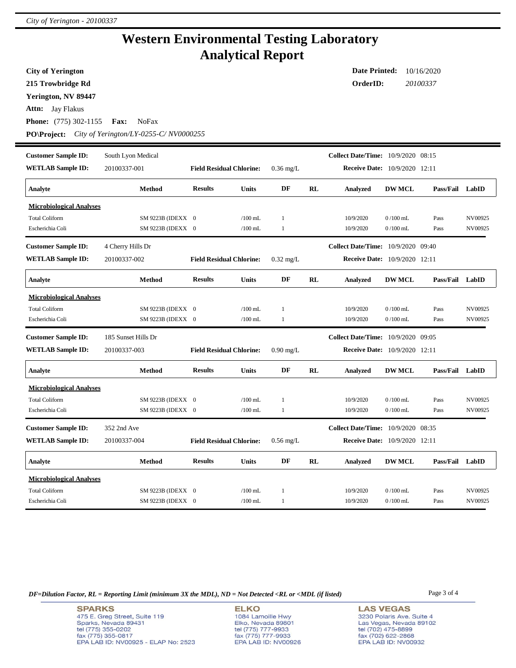## **Western Environmental Testing Laboratory Analytical Report**

**City of Yerington**

**215 Trowbridge Rd**

**Yerington, NV 89447**

**Attn:** Jay Flakus

**Phone:** (775) 302-1155 **Fax:** NoFax

**PO\Project:** *City of Yerington/LY-0255-C/ NV0000255*

| <b>Customer Sample ID:</b>      | South Lyon Medical  |                                 |              |              |    | <b>Collect Date/Time:</b> 10/9/2020 08:15 |               |                 |         |
|---------------------------------|---------------------|---------------------------------|--------------|--------------|----|-------------------------------------------|---------------|-----------------|---------|
| <b>WETLAB Sample ID:</b>        | 20100337-001        | <b>Field Residual Chlorine:</b> |              | $0.36$ mg/L  |    | <b>Receive Date:</b> 10/9/2020 12:11      |               |                 |         |
| Analyte                         | <b>Method</b>       | <b>Results</b>                  | <b>Units</b> | DF           | RL | <b>Analyzed</b>                           | <b>DW MCL</b> | Pass/Fail       | LabID   |
| <b>Microbiological Analyses</b> |                     |                                 |              |              |    |                                           |               |                 |         |
| <b>Total Coliform</b>           | SM 9223B (IDEXX 0   |                                 | $/100$ mL    | 1            |    | 10/9/2020                                 | $0/100$ mL    | Pass            | NV00925 |
| Escherichia Coli                | SM 9223B (IDEXX 0   |                                 | $/100$ mL    | 1            |    | 10/9/2020                                 | $0/100$ mL    | Pass            | NV00925 |
| <b>Customer Sample ID:</b>      | 4 Cherry Hills Dr   |                                 |              |              |    | Collect Date/Time: 10/9/2020 09:40        |               |                 |         |
| <b>WETLAB Sample ID:</b>        | 20100337-002        | <b>Field Residual Chlorine:</b> |              | $0.32$ mg/L  |    | Receive Date: 10/9/2020 12:11             |               |                 |         |
| Analyte                         | <b>Method</b>       | <b>Results</b>                  | <b>Units</b> | DF           | RL | <b>Analyzed</b>                           | <b>DW MCL</b> | Pass/Fail       | LabID   |
| <b>Microbiological Analyses</b> |                     |                                 |              |              |    |                                           |               |                 |         |
| <b>Total Coliform</b>           | SM 9223B (IDEXX 0   |                                 | $/100$ mL    | 1            |    | 10/9/2020                                 | $0/100$ mL    | Pass            | NV00925 |
| Escherichia Coli                | SM 9223B (IDEXX 0   |                                 | $/100$ mL    | $\mathbf{1}$ |    | 10/9/2020                                 | $0/100$ mL    | Pass            | NV00925 |
|                                 |                     |                                 |              |              |    |                                           |               |                 |         |
| <b>Customer Sample ID:</b>      | 185 Sunset Hills Dr |                                 |              |              |    | <b>Collect Date/Time:</b> 10/9/2020 09:05 |               |                 |         |
| <b>WETLAB Sample ID:</b>        | 20100337-003        | <b>Field Residual Chlorine:</b> |              | $0.90$ mg/L  |    | <b>Receive Date:</b> 10/9/2020 12:11      |               |                 |         |
| Analyte                         | <b>Method</b>       | <b>Results</b>                  | Units        | DF           | RL | Analyzed                                  | <b>DW MCL</b> | Pass/Fail LabID |         |
| <b>Microbiological Analyses</b> |                     |                                 |              |              |    |                                           |               |                 |         |
| <b>Total Coliform</b>           | SM 9223B (IDEXX 0   |                                 | $/100$ mL    | 1            |    | 10/9/2020                                 | $0/100$ mL    | Pass            | NV00925 |
| Escherichia Coli                | SM 9223B (IDEXX 0   |                                 | $/100$ mL    | $\mathbf{1}$ |    | 10/9/2020                                 | $0/100$ mL    | Pass            | NV00925 |
| <b>Customer Sample ID:</b>      | 352 2nd Ave         |                                 |              |              |    | <b>Collect Date/Time:</b> 10/9/2020 08:35 |               |                 |         |
| <b>WETLAB Sample ID:</b>        | 20100337-004        | <b>Field Residual Chlorine:</b> |              | $0.56$ mg/L  |    | Receive Date: 10/9/2020 12:11             |               |                 |         |
| Analyte                         | Method              | <b>Results</b>                  | <b>Units</b> | DF           | RL | <b>Analyzed</b>                           | <b>DW MCL</b> | Pass/Fail       | LabID   |
| <b>Microbiological Analyses</b> |                     |                                 |              |              |    |                                           |               |                 |         |
| <b>Total Coliform</b>           | SM 9223B (IDEXX 0   |                                 | $/100$ mL    | 1            |    | 10/9/2020                                 | $0/100$ mL    | Pass            | NV00925 |

*DF=Dilution Factor, RL = Reporting Limit (minimum 3X the MDL), ND = Not Detected <RL or <MDL (if listed)* Page 3 of 4

**SPARKS** 475 E. Greg Street, Suite 119 Sparks, Nevada 89431 tel (775) 355-0202<br>fax (775) 355-0817 EPA LAB ID: NV00925 - ELAP No: 2523

**ELKO** 1084 Lamoille Hwy Elko, Nevada 89801<br>tel (775) 777-9933<br>fax (775) 777-9933 EPA LAB ID: NV00926

**Date Printed:** 10/16/2020 **OrderID:** *20100337*

**LAS VEGAS** 3230 Polaris Ave. Suite 4 Las Vegas, Nevada 89102 tel (702) 475-8899<br>fax (702) 622-2868 EPA LAB ID: NV00932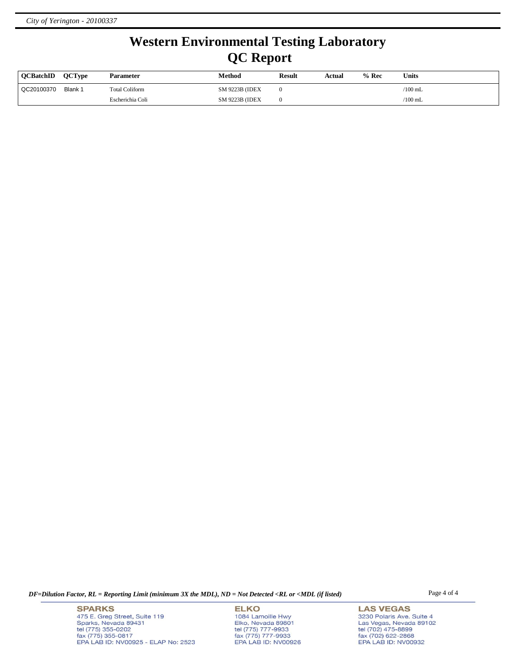# **Western Environmental Testing Laboratory QC Report**

| <b>OCBatchID</b> | <b>OCType</b> | <b>Parameter</b>      | Method                 | <b>Result</b> | Actual | % Rec | Units     |
|------------------|---------------|-----------------------|------------------------|---------------|--------|-------|-----------|
| QC20100370       | Blank 1       | <b>Total Coliform</b> | <b>SM 9223B (IDEX)</b> |               |        |       | $/100$ mL |
|                  |               | Escherichia Coli      | SM 9223B (IDEX         |               |        |       | $/100$ mL |

*DF=Dilution Factor, RL = Reporting Limit (minimum 3X the MDL), ND = Not Detected <RL or <MDL (if listed)* Page 4 of 4

**SPARKS** 475 E. Greg Street, Suite 119 Sparks, Nevada 89431<br>tel (775) 355-0202<br>fax (775) 355-0817 EPA LAB ID: NV00925 - ELAP No: 2523

**ELKO** 1084 Lamoille Hwy Elko, Nevada 89801<br>tel (775) 777-9933<br>fax (775) 777-9933 EPA LAB ID: NV00926

**LAS VEGAS** 3230 Polaris Ave. Suite 4 Las Vegas, Nevada 89102<br>tel (702) 475-8899<br>fax (702) 622-2868<br>EPA LAB ID: NV00932